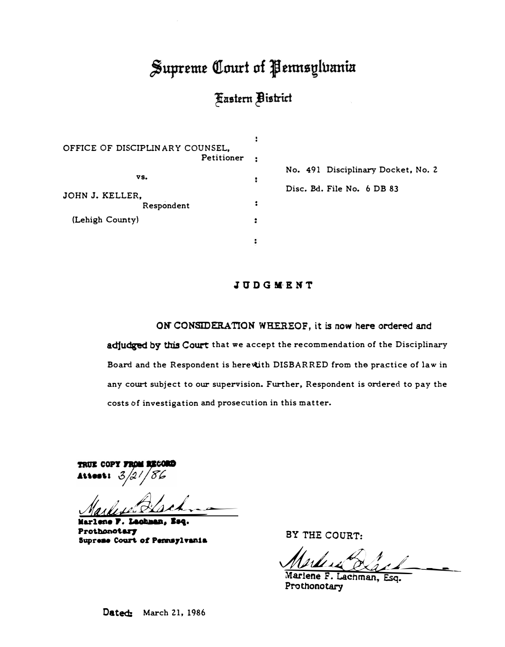# Supreme Court of Pennsylvania

## **Fastern Bistrict**

÷

| OFFICE OF DISCIPLINARY COUNSEL,<br>Petitioner | ٠ |  |
|-----------------------------------------------|---|--|
|                                               |   |  |
| VS.                                           |   |  |
| JOHN J. KELLER,                               |   |  |
| Respondent                                    | 2 |  |
| (Lehigh County)                               |   |  |
|                                               |   |  |

**No. 491 Disciplinary Docket, No. Z Disc.** Bd. **File No.** 6 **DB** 83

## **J 11 D G M·E MT**

**ON' CONSIDERATION WHEREOF, it is now here ordered and adjudged by this Court that we accept the recommendation of the Disciplinary Board and the Respondent is bere�th DISBARRED from the pra�tice of law in any court subject to our supervision. Further, Respondent is ordered to pay the costs bf investigation and prosecution in this matter.** 

TRUE COPY FROM Attest:  $3$ 

Market Koch

**Marlee P. Lad!MD, Seq.**  Prothonotary **Suprese Court of Pennsylvania** 

**BY THE COURT:** 

Marles & Lach

**Marlene F. Lachman**7 **Esq. Prothonotary** 

Dated: **March Zl, 1986**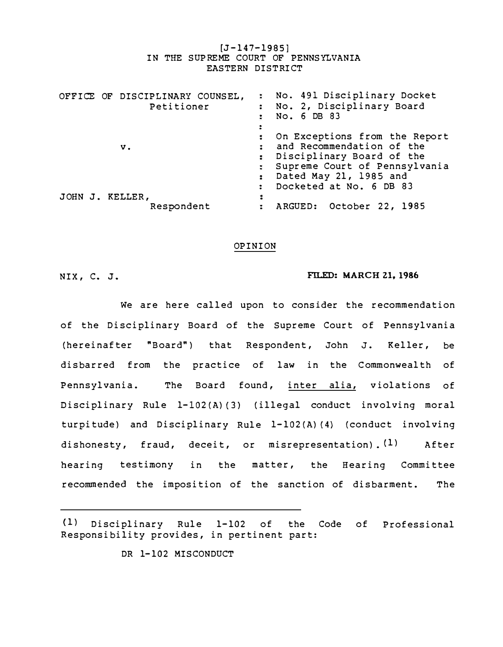[J-147-1985] IN THE SUPREME COURT OF PENNSYLVANIA EASTERN DISTRICT

| OFFICE OF DISCIPLINARY COUNSEL,<br>Petitioner |  |                               |  | : No. 491 Disciplinary Docket<br>: No. 2, Disciplinary Board<br>No. 6 DB 83<br>÷<br>፡                                                                                                                                              |                          |  |  |  |
|-----------------------------------------------|--|-------------------------------|--|------------------------------------------------------------------------------------------------------------------------------------------------------------------------------------------------------------------------------------|--------------------------|--|--|--|
| v.                                            |  |                               |  | On Exceptions from the Report<br>:<br>and Recommendation of the<br>Disciplinary Board of the<br>Supreme Court of Pennsylvania<br>Dated May 21, 1985 and<br>$\ddot{\phantom{a}}$<br>Docketed at No. 6 DB 83<br>$\ddot{\phantom{a}}$ |                          |  |  |  |
|                                               |  | JOHN J. KELLER,<br>Respondent |  |                                                                                                                                                                                                                                    | ARGUED: October 22, 1985 |  |  |  |

#### OPINION

### NIX, C. J. **FILED: MARCH Zl, 1986**

We are here called upon to consider the recommendation of the Disciplinary Board of the Supreme Court of Pennsylvania (hereinafter "Board") that Respondent, John J. Keller, be disbarred from the practice of law in the Commonwealth of Pennsylvania. The Board found, inter alia, violations of Disciplinary Rule l-102(A) (3) (illegal conduct involving moral turpitude) and Disciplinary Rule l-102(A) (4) (conduct involving dishonesty, fraud, deceit, or misrepresentation).  $(1)$  After hearing testimony in the matter, the Hearing Committee recommended the imposition of the sanction of disbarment. The

(1) Disciplinary Rule 1-102 of the Code of Professional Responsibility provides, in pertinent part:

DR 1-102 MISCONDUCT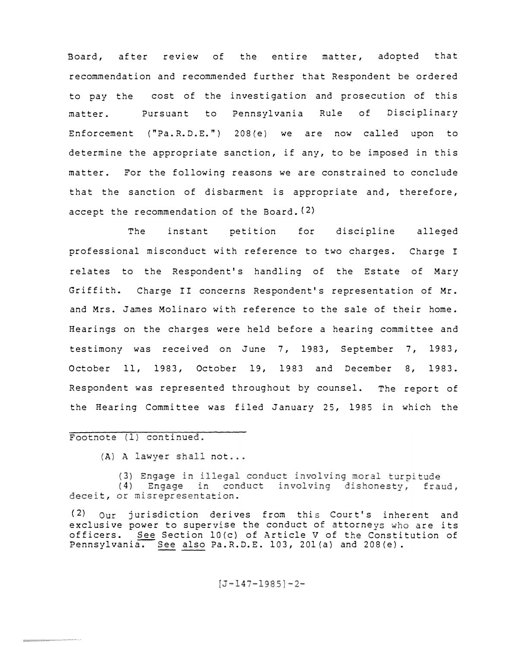Board, after review of the entire matter, adopted that recommendation and recommended further that Respondent be ordered to pay the cost of the investigation and prosecution of this matter. Pursuant to Pennsylvania Rule of Disciplinary Enforcement ("Pa.R.D.E.") 208(e) we are now called upon to determine the appropriate sanction, if any, to be imposed in this matter. For the following reasons we are constrained to conclude that the sanction of disbarment is appropriate and, therefore, accept the recommendation of the Board. (2)

The instant petition for discipline alleged professional misconduct with reference to two charges. Charge I relates to the Respondent's handling of the Estate of Mary Griffith. Charge II concerns Respondent's representation of Mr. and Mrs. James Molinaro with reference to the sale of their home. Hearings on the charges were held before a hearing committee and testimony was received on June 7, 1983, September 7, 1983, October 11, 1983, October 19, 1983 and December 8, 1983. Respondent was represented throughout by counsel. The report of the Hearing Committee was filed January 25, 1985 in which the

#### Footnote (1) continued.

A) A lawyer shall <mark>not</mark>.

deceit, or misrepresentation. (3) Engage in illegal conduct involving moral turpitude (4) Engage in conduct involving dishonesty, fraud,

 $(2)$  Our jurisdiction derives from this Court's inherent and exclusive power to supervise the conduct of attorneys who are its officers. See Section  $10(c)$  of Article V of the Constitution of Pennsylvania. See also Pa.R.D.E. 103, 201(a) and 208(e).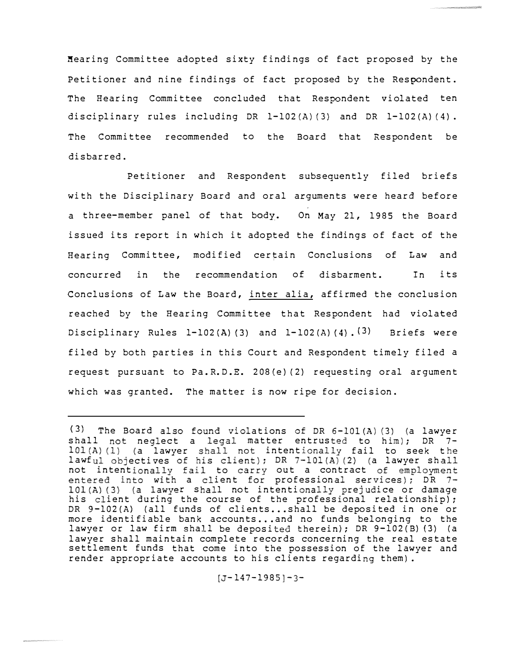Hearing Committee adopted sixty findings of fact proposed by the Petitioner and nine findings of fact proposed by the Respondent. The Hearing Committee concluded that Respondent violated ten disciplinary rules including DR 1-102(A)(3) and DR 1-102(A)(4). The Committee recommended to the Board that Respondent be disbarred.

Petitioner and Respondent subsequently filed briefs with the Disciplinary Board and oral arguments were heard before a three-member panel of that body. On May 21, 1985 the Board issued its report in which it adopted the findings of fact of the Hearing Committee, modified certain Conclusions of Law and concurred in the recommendation of disbarment. In its Conclusions of Law the Board, inter alia, affirmed the conclusion reached by the Hearing Committee that Respondent had violated Disciplinary Rules 1-102(A) (3) and  $1-102(A)$  (4).  $(3)$  Briefs were filed by both parties in this Court and Respondent timely filed a request pursuant to Pa.R.D.E. 2 08 {e) (2) requesting oral argument which was granted. The matter is now ripe for decision.

 $(3)$  The Board also found violations of DR 6-101(A)(3) (a lawyer shall not neglect a legal matter entrusted to him); DR 7- $101(A)$  (1) (a lawyer shall not intentionally fail to seek the lawful objectives of his client); DR 7-101(A)(2) (a lawyer sh not intentionally fail to carry out a contract a client for professional services); DR 101(A)(3) (a lawyer shall not intentionally prejudice or damage his client during the course of the professional relationship); DR 9-102(A) (all funds of clients...shall be deposited in one or more identifiable bank accounts...and no funds belonging to the lawyer or law firm shall be deposited therein); DR 9-102(B) (3) (a lawyer shall maintain complete records concerning the real estate settlement funds that come into the possession of the lawyer and render appropriate accounts to his clients regarding them).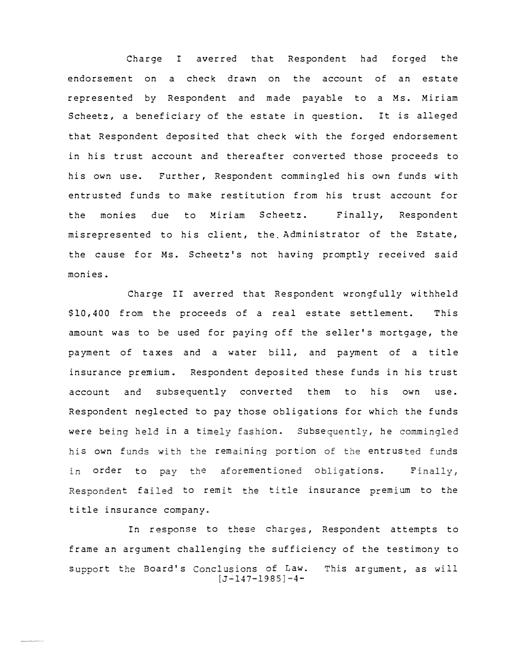Charge I averred that Respondent had forged the endorsement on a check drawn on the account of an estate represented by Respondent and made payable to a Ms. Miriam Scheetz, a beneficiary of the estate in question. It is alleged that Respondent deposited that check with the forged endorsement in his trust account and thereafter converted those proceeds to his own use. Further, Respondent commingled his own funds with entrusted funds to make restitution from his trust account for the monies due to Miriam Scheetz. Finally, Respondent misrepresented to his client, the Administrator of the Estate, the cause for Ms. Scheetz's not having promptly received said monies.

Charge II averred that Respondent wrongfully withheld \$10,400 from the proceeds of a real estate settlement. This amount was to be used for paying off the seller's mortgage, the payment of taxes and a water bill, and payment of a title insurance premium. Respondent deposited these funds in his trust account and subsequently converted them to his own use. Respondent neglected to pay those obligations for which the funds were being held in a timely fashion. Subsequently, he commingled his own funds with the remaining portion of the entrusted funds in order to pay the aforementioned obligations. Finally, t failed to remit the title insurance premium to the title insurance company.

In response to these charges, Respondent attempts to frame an argument challenging the sufficiency of the testimony to support the Board's Conclusions of Law.  $[J-147-1985]-4-$ This argument, as will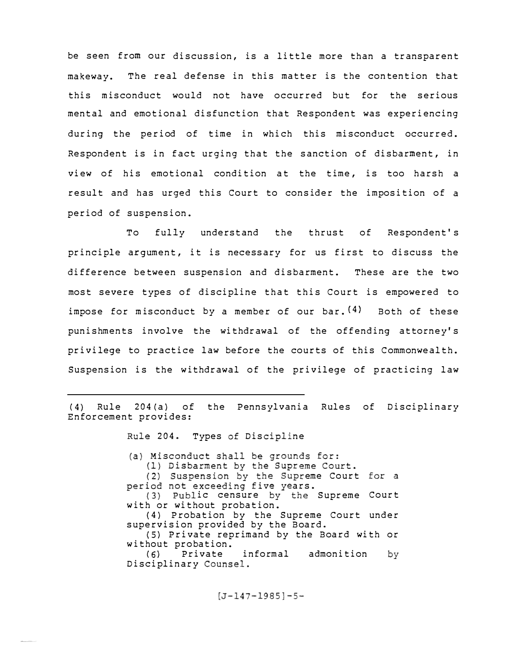be seen from our discussion, is a little more than a transparent makeway. The real defense in this matter is the contention that this misconduct would not have occurred but for the serious mental and emotional disfunction that Respondent was experiencing during the period of time in which this misconduct occurred. Respondent is in fact urging that the sanction of disbarment, in view of his emotional condition at the time, is too harsh a result and has urged this Court to consider the imposition of a period of suspension.

To fully understand the thrust of Respondent's principle argument, it is necessary for us first to discuss the difference between suspension and disbarment. These are the two most severe types of discipline that this Court is empowered to impose for misconduct by a member of our bar.  $(4)$  Both of these punishments involve the withdrawal of the offending attorney's privilege to practice law before the courts of this Commonwealth. Suspension is the withdrawal of the privilege of practicing law

(4) Rule 204(a) of the Pennsylvania Rules of Disciplinary Enforcement provides:

204. Types of Discipline

(a) Misconduct shall be grounds for: (1) Disbarment by the Supreme Court. eme Court for a period not exceeding five years.  $(3)$ ic censure Supreme Court with or without probation. ( 4) Probation by the Supreme Court under supervision provided by the Board. (5) Private reprimand by the Board with or without probation.<br>(6) Private Private informal admonition by Disciplinary Counsel.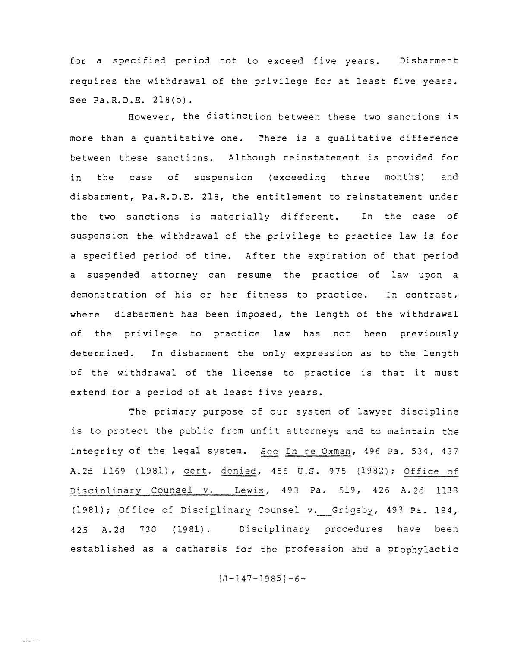for a specified period not to exceed five years. Disbarment requires the withdrawal of the privilege for at least five years. See Pa. R. D. E. 218(b).

However, the distinction between these two sanctions is more than a quantitative one. There is a qualitative difference between these sanctions. Although reinstatement is provided for in the case of suspension (exceeding three months) and disbarment, Pa.R.D.E. 218, the entitlement to reinstatement under the two sanctions is materially different. In the case of suspension the withdrawal of the privilege to practice law is for a specified period of time. After the expiration of that period a suspended attorney can resume the practice of law upon a demonstration of his or her fitness to practice. In contrast, where disbarment has been imposed, the length of the withdrawal of the privilege to practice law has not been previously determined. In disbarment the only expression as to the length of the withdrawal of the license to practice is that it must extend for a period of at least five years.

The primary purpose of our system of lawyer discipline is to protect the public from unfit attorneys and to maintain the integrity of the legal system. See In re Oxman, 496 Pa. 534, 437 A. 2d 1169 (1981), cert. denied, 456 U.S. 975 (1982); 493 Pa. 519, 426 A. 2d 1138 (1981); Office of Disciplinary Counsel v. Grigsby, 493 Pa. 194, 425 A.2d 730 (1981). Disciplinary procedures have been established as a catharsis for the profession and a prophylactic

 $[J - 147 - 1985] - 6 -$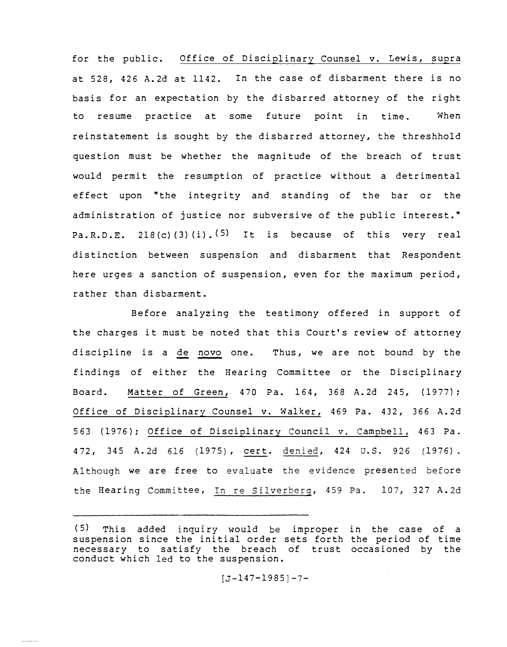for the public. Office of Disciplinary Counsel v. Lewis, supra at 528, 426 A.2d at 1142. In the case of disbarment there is no basis for an expectation by the disbarred attorney of the right to resume practice at some future point in time. When reinstatement is sought by the disbarred attorney, the threshhold question must be whether the magnitude of the breach of trust would permit the resumption of practice without a detrimental effect upon "the integrity and standing of the bar or the administration of justice nor subversive of the public interest." Pa.R.D.E. 218(c)(3)(i).<sup>(5)</sup> It is because of this very real distinction between suspension and disbarment that Respondent here urges a sanction of suspension, even for the maximum period, rather than disbarment.

Before analyzing the testimony offered in support of the charges it must be noted that this Court's review of attorney discipline is a de novo one. Thus, we are not bound by the findings of either the Hearing Committee or the Disciplinary Board. Matter of Green, 470 Pa. 164, 368 A.2d 245, (1977); Office of Disciplinary Counsel v. Walker, 469 Pa. 432, 366 A. 2d 563 (1976); Office of Disciplinary Council v. Campbell, 463 Pa. 472, 345 A.2d 616 (1975), cert. denied, 424 U.S. 926 (1976) we are free to evaluate the evidence presented before Hearing Committee, <u>In re Silverberg</u>, 459 Pa. 107, 327 A.:

<sup>(5)</sup> This added inquiry would be improper in the case of a suspension since the initial order sets forth the period of time necessary to satisfy the breach of trust occasioned by the conduct which led to the suspension.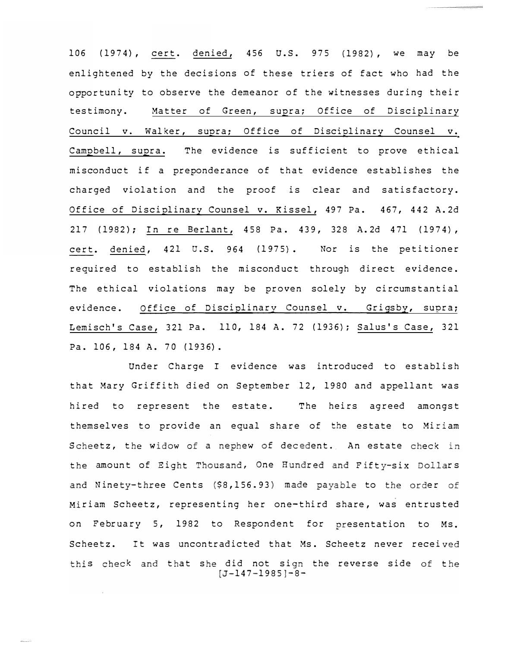106 (1974), cert. denied, 456 U.S. 975 (1982), we may be enlightened by the decisions of these triers of fact who had the opportunity to observe the demeanor of the witnesses during their testimony. Matter of Green, supra; Office of Disciplinary Council v. Walker, supra: Office of Disciplinary Counsel v. Campbell, supra. The evidence is sufficient to prove ethical misconduct if a preponderance of that evidence establishes the charged violation and the proof is clear and satisfactory. Office of Disciplinary Counsel v. Kissel, 497 Pa. 467, 442 A. 2d 217 (1982); In re Berlant, 458 Pa. 439, 328 A.2d 471 (1974), cert. denied, 421 U.S. 964 (1975). Nor is the petitioner required to establish the misconduct through direct evidence. The ethical violations may be proven solely by circumstantial evidence. Office of Disciplinary Counsel v. Grigsby, supra; Lemisch's Case, 321 Pa. 110, 184 A. 72 (1936); Salus's Case, 321 Pa. 106, 184 A. 70 (1936).

Under Charge I evidence was introduced to establish that Mary Griffith died on September 12, 1980 and appellant was hired to represent the estate. The heirs agreed amongst themselves to provide an equal share of the estate to Miriam Scheetz, the widow of a nephew of decedent. An estate check the amount of Eight Thousand, One Hundred and Fifty-six Dollars Ninety-three Cents (\$8,156.93) made payable to the order Miriam Scheetz, representing her one-third share, was entrusted on February 5, 1982 to Respondent for presentation to Ms. Scheetz. It was uncontradicted that Ms. Scheetz never received this check and that she did not sign the reverse side of the  $[J-147-1985]-8-$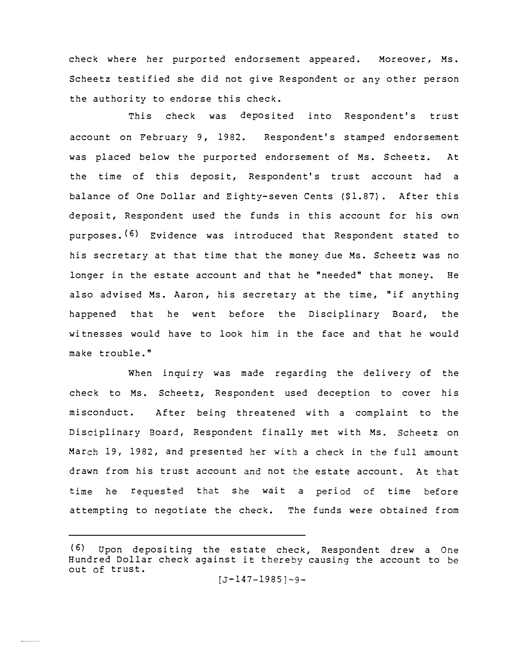check where her purported endorsement appeared. Moreover, Ms. Scheetz testified she did not give Respondent or any other person the authority to endorse this check.

This check was deposited into Respondent's trust account on February 9, 1982. Respondent's stamped endorsement was placed below the purported endorsement of Ms. Scheetz. At the time of this deposit, Respondent's trust account had a balance of One Dollar and Eighty-seven Cents (\$1.87}. After this deposit, Respondent used the funds in this account for his own purposes. (6) Evidence was introduced that Respondent stated to his secretary at that time that the money due Ms. Scheetz was no longer in the estate account and that he "needed" that money. He also advised Ms. Aaron, his secretary at the time, "if anything happened that he went before the Disciplinary Board, the witnesses would have to look him in the face and that he would make trouble."

When inquiry was made reqarding the delivery of the check to Ms. Scheetz, Respondent used deception to cover his misconduct. After being threatened with a complaint to the Disciplinary Board, Respondent finally met with Ms. Scheetz on March 19, 1982, and presented her with a check in the full amount drawn from his trust account and not the estate account. At that time he requested that she wait a period of time before attempting to negotiate the check. The funds were obtained from

<sup>(6)</sup> Upon depositing the estate check, Respondent drew a Hundred Dollar check against it thereby causing the account to out of trust.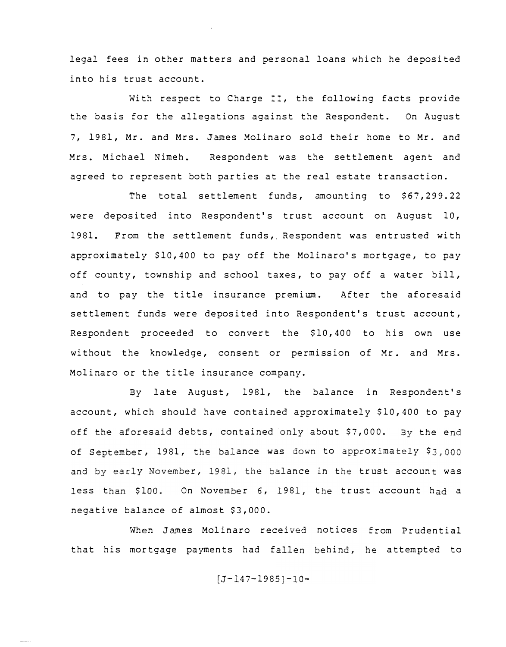legal fees in other matters and personal loans which he deposited into his trust account.

With respect to Charge II, the following facts provide the basis for the allegations against the Respondent. On August 7, 1981, Mr. and Mrs. James Molinaro sold their home to Mr. and Mrs. Michael Nimeh. Respondent was the settlement agent and agreed to represent both parties at the real estate transaction.

The total settlement funds, amounting to \$67,299.22 were deposited into Respondent's trust account on August 10, 1981. From the settlement funds, Respondent was entrusted with approximately \$10,400 to pay off the Molinaro's mortgage, to pay off county, township and school taxes, to pay off a water bill, and to pay the title insurance premium. After the aforesaid settlement funds were deposited into Respondent's trust account, Respondent proceeded to convert the \$10,400 to his own use without the knowledge, consent or permission of Mr. and Mrs. Molinaro or the title insurance company.

By late August, 1981, the balance in Respondent's account, which should have contained approximately \$10,400 to pay off the aforesaid debts, contained only about \$7,000. By the end of September, 1981, the balance was down to approximately \$3,000 y November, 1981, the balance in the trust account was ess than \$100. On November 6, 1981, the trust account had a negative balance of almost \$3,000.

When James Molinaro received notices from Prudential that his mortgage payments had fallen behind, he attempted to

 $[J-147-1985]-10-$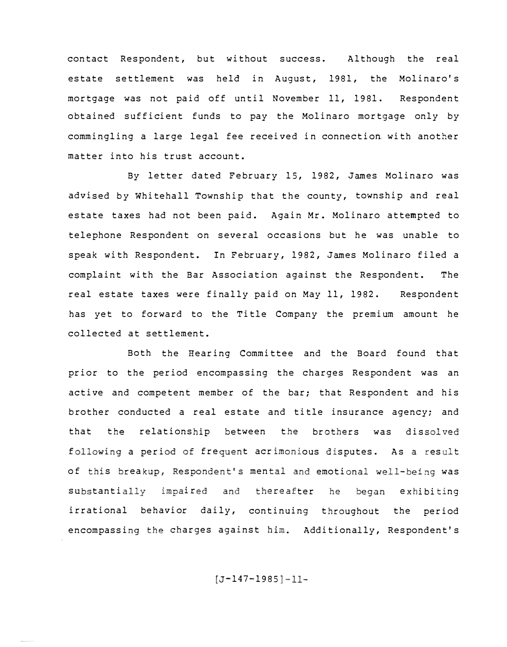contact Respondent, but without success. Although the real estate settlement was held in August, 1981, the Molinaro's mortgage was not paid off until November 11, 1981. Respondent obtained sufficient funds to pay the Molinaro mortgage only by commingling a large legal fee received in connection with another matter into his trust account.

By letter dated February 15, 1982, James Molinaro was advised by Whitehall Township that the county, township and real estate taxes had not been paid. Again Mr. Molinaro attempted to telephone Respondent on several occasions but he was unable to speak with Respondent. In February, 1982, James Molinaro filed a complaint with the Bar Association against the Respondent. The real estate taxes were finally paid on May 11, 1982. Respondent has yet to forward to the Title Company the premium amount he collected at settlement.

Both the Hearing Committee and the Board found that prior to the period encompassing the charges Respondent was an active and competent member of the bar; that Respondent and his brother conducted a real estate and title insurance agency; and that the relationship between the brothers was dissolved following a period of frequent acrimonious disputes. As a result of this breakup, Respondent's mental and emotional well-being was substantially impaired and thereafter he began exhibiting irrational behavior daily, continuing throughout the period encompassing the charges against him. Additionally, Respondent's

 $[J-147-1985]-11-$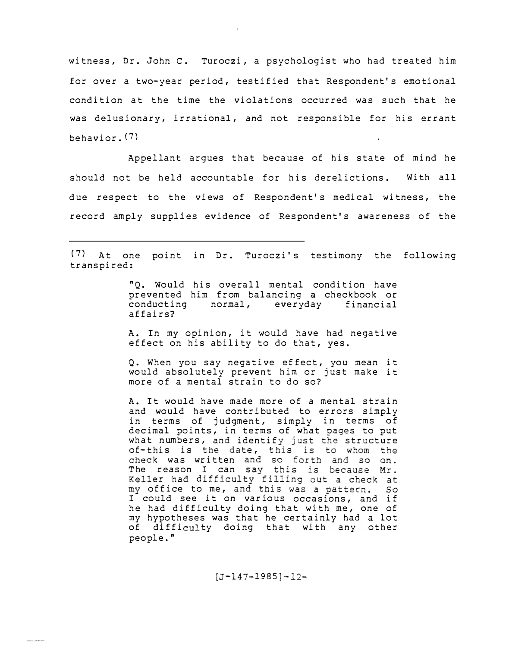witness, Dr. John C. Turoczi, a psychologist who had treated him for over a two-year period, testified that Respondent's emotional condition at the time the violations occurred was such that he was delusionary, irrational, and not responsible for his errant behavior. (7)

Appellant argues that because of his state of mind he should not be held accountable for his derelictions. With all due respect to the views of Respondent's medical witness, the record amply supplies evidence of Respondent's awareness of the

(7) At one point in Dr. Turoczi's testimony the following transpired:

> "Q. Would his overall mental condition have prevented him from balancing *a* checkbook or everyday financial affairs?

> A. In my opinion, it would have had negative effect on his ability to do that, yes.

> Q. When you say negative effect, you mean it would absolutely prevent him or just make it more of a mental strain to do so?

> A. It would have made more of a mental strain and would have contributed to errors simply in terms of in terms of judgment, simply decimal points, in terms of what pages to put what numbers, and identify just the structure of-this is the date, this is to whom the **state of the set of the state of**  $\mathbf{r}$ check was written and so forth and so on. The reason I can r had diff! my office to me, and this was a pattern.  $SO$ I could see it on various occasions, and if he had difficulty doing that with me, one of my hypotheses was that he certainly had *a* lot of difficulty doing that with any other people."

> > $[J-147-1985]-12-$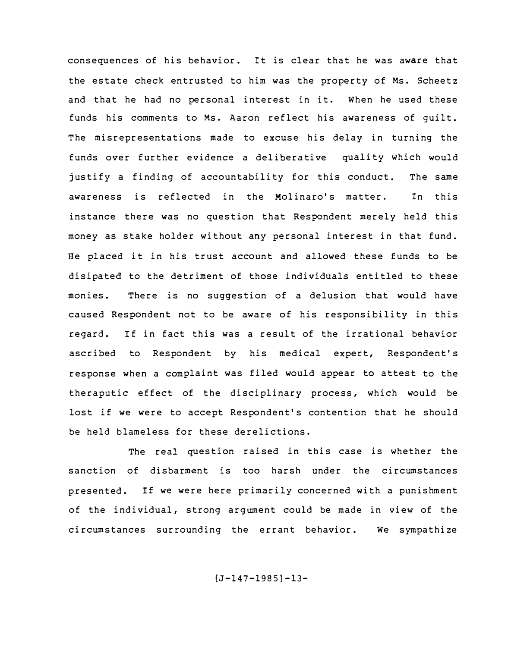consequences of his behavior. It is clear that he was aware that the estate check entrusted to him was the property of Ms. Scheetz and that he had no personal interest in it. When he used these funds his comments to Ms. Aaron reflect his awareness of guilt. The misrepresentations made to excuse his delay in turning the funds over further evidence a deliberative quality which would justify a finding of accountability for this conduct. The same awareness is reflected in the Molinaro's matter. In this instance there was no question that Respondent merely held this money as stake holder without any personal interest in that fund. He placed it in his trust account and allowed these funds to be disipated to the detriment of those individuals entitled to these monies. There is no suggestion of a delusion that would have caused Respondent not to be aware of his responsibility in this regard. If in fact this was a result of the irrational behavior ascribed to Respondent by his medical expert, Respondent's response when a complaint was filed would appear to attest to the theraputic effect of the disciplinary process, which would be lost if we were to accept Respondent's contention that he should be held blameless for these derelictions.

The real question raised in this case is whether the sanction of disbarment is too harsh under the circumstances presented. If we were here primarily concerned with a punishment of the individual, strong argument could be made in view of the circumstances surrounding the errant behavior. We sympathize

 $[J-147-1985]-13-$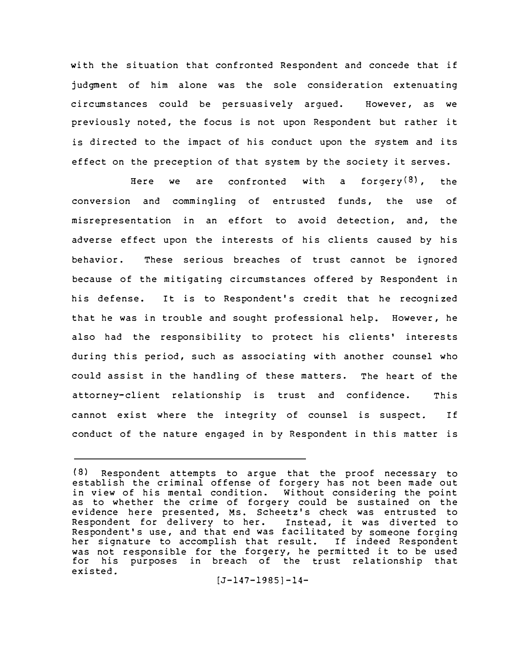with the situation that confronted Respondent and concede that if judgment of him alone was the sole consideration extenuating circumstances could be persuasively argued. However, as we previously noted, the focus is not upon Respondent but rather it is directed to the impact of his conduct upon the system and its effect on the preception of that system by the society it serves.

Here we are confronted with a forgery $(8)$ , the conversion and commingling of entrusted funds, the use of misrepresentation in an effort to avoid detection, and, the adverse effect upon the interests of his clients caused by his behavior. These serious breaches of trust cannot be ignored because of the mitigating circumstances offered by Respondent in his defense. It is to Respondent's credit that he recognized that he was in trouble and sought professional help. However, he also had the responsibility to protect his clients' interests during this period, such as associating with another counsel who could assist in the handling of these matters. The heart of the attorney-client relationship is trust and confidence. This cannot exist where the integrity of counsel is suspect. If conduct of the nature engaged in by Respondent in this matter is

<sup>(8)</sup> Respondent attempts to argue that the proof necessary to establish the criminal offense of forgery has not been made out in view of his mental condition. Without considering the point as to whether the crime of forgery could be sustained on the evidence here presented, Ms. Scheetz's check was entrusted to Respondent for delivery to her. Instead, it was diverted to Respondent's use, and that end was facilitated by someone forging her signature to accomplish that result. If indeed Respondent was not responsible for the forgery, he permitted it to be used for his purposes in breach of the trust relationship that existed.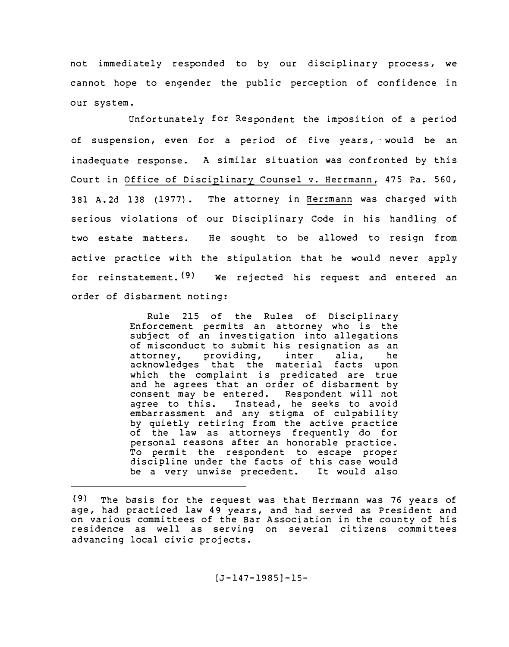not immediately responded to by our disciplinary process, we cannot hope to engender the public perception of confidence in our system.

Unfortunately for Respondent the imposition of a period of suspension, even for a period of five years, would be an inadequate response. A similar situation was confronted by this Court in Office of Disciplinary Counsel v. Herrmann, 475 Pa. 560, 381 A.2d 138 (1977). The attorney in Herrmann was charged with serious violations of our Disciplinary Code in his handling of two estate matters. He sought to be allowed to resign from active practice with the stipulation that he would never apply for reinstatement. (9) We rejected his request and entered an order of disbarment noting:

> Rule 215 of the Rules of Disciplinary Enforcement permits an attorney who is the subject of an investigation into allegations of misconduct to submit his resignation as an attorney, providing, inter alia, he acknowledges that the material facts upon which the complaint is predicated are true and he agrees that an order of disbarment by consent may be entered. Respondent will not agree to this. Instead, he seeks to avoid embarrassment and any stigma of culpability by quietly retiring from the active practice of the law as attorneys frequently do for personal reasons after an honorable practice. To permit the respondent to escape proper discipline under the facts of this case would be a very unwise precedent. It would also

<sup>(9)</sup> The basis for the request was that Herrmann was 76 years of age, had practiced law 49 years, and had served as President and on various committees of the Bar Association in the county of his residence as well as serving on several citizens committees advancing local civic projects.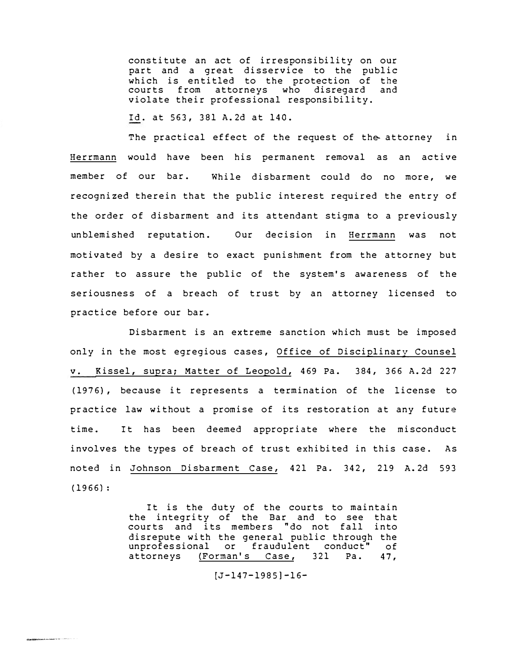constitute an act of irresponsibility on our part and a great disservice to the public which is entitled to the protection of the<br>courts from attorneys who disregard and courts from attorneys who disregard violate their professional responsibility.

Id. at 563, 381 A.2d at 140.

The practical effect of the request of the attorney in Herrmann would have been his permanent removal as an active member of our bar. While disbarment could do no more, we recognized therein that the public interest required the entry of the order of disbarment and its attendant stigma to a previously unblemished reputation. Our decision in Herrmann was not motivated by a desire to exact punishment from the attorney but rather to assure the public of the system's awareness of the seriousness of a breach of trust by an attorney licensed to practice before our bar.

Disbarment is an extreme sanction which must be imposed only in the most egregious cases, Office of Disciplinary Counsel v. Kissel, supra; Matter of Leopold, 469 Pa. 384, 366 A.2d 227 (1976), because it represents a termination of the license to practice law without a promise of its restoration at any future time. It has been deemed appropriate where the misconduct involves the types of breach of trust exhibited in this case. As noted in Johnson Disbarment Case, 421 Pa. 342, 219 A. 2d 593 (1966):

> It is the duty of the courts to maintain the integrity of the Bar and to see that courts and its members "do not fall into disrepute with the general public through the<br>unprofessional or fraudulent conduct" of unprofessional or fraudulent conduct" of<br>attorneys (Forman's Case, 321 Pa. 47, (Forman's Case,

#### $[J-147-1985]-16-$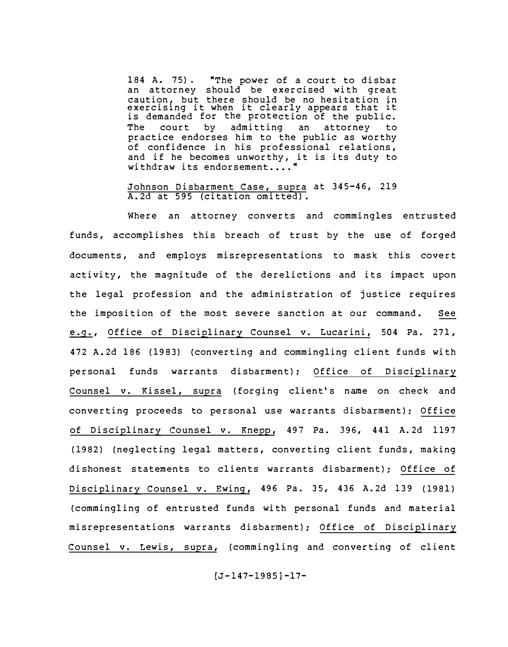184 A. 75) • "The power of a court to disbar an attorney should be exercised with great caution, but there should be no hesitation in exercising it when it clearly appears that it is demanded for the protection of the public.<br>The court by admitting an attorney to The court by admitting an attorney to practice endorses him to the public as worthy of confidence in his professional relations, and if he becomes unworthy, it is its duty to withdraw its endorsement.... $\blacksquare$ 

Johnson Disbarment Case, supra at 345-46, 219 A.2d at 595 (citation omitted).

Where an attorney converts and commingles entrusted funds, accomplishes this breach of trust by the use of forged documents, and employs misrepresentations to mask this covert activity, the magnitude of the derelictions and its impact upon the legal profession and the administration of justice requires the imposition of the most severe sanction at our command. See �, Office of Disciplinary Counsel v. Lucarini, 504 Pa. 271, 472 A.2d 186 (1983) (converting and commingling client funds with personal funds warrants disbarment); Office of Disciplinary Counsel v. Kissel, supra (forging client's name on check and converting proceeds to personal use warrants disbarment); Office of Disciplinary Counsel v. Knepp, 497 Pa. 396, 441 A.2d 1197 (1982) (neglecting legal matters, converting client funds, making dishonest statements to clients warrants disbarment); Office of Disciplinary Counsel v. Ewing, 496 Pa. 35, 436 A.2d 139 (1981) (commingling of entrusted funds with personal funds and material misrepresentations warrants disbarment); Office of Disciplinary Counsel v. Lewis, supra, (commingling and converting of client

 $[J-147-1985]-17-$